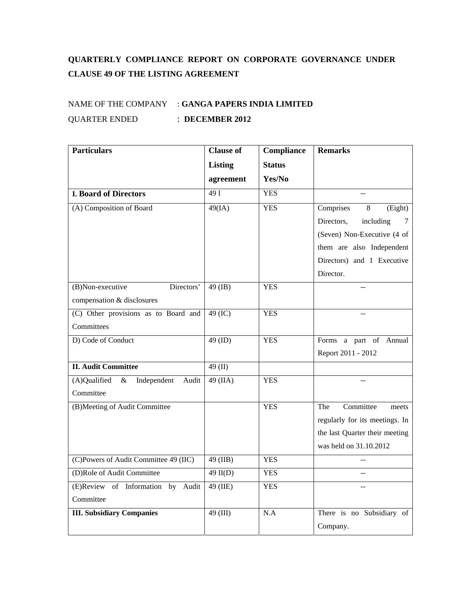## **QUARTERLY COMPLIANCE REPORT ON CORPORATE GOVERNANCE UNDER CLAUSE 49 OF THE LISTING AGREEMENT**

## NAME OF THE COMPANY : **GANGA PAPERS INDIA LIMITED** QUARTER ENDED : **DECEMBER 2012**

| <b>Particulars</b>                           | <b>Clause of</b> | Compliance    | <b>Remarks</b>                 |
|----------------------------------------------|------------------|---------------|--------------------------------|
|                                              | <b>Listing</b>   | <b>Status</b> |                                |
|                                              | agreement        | Yes/No        |                                |
| <b>I. Board of Directors</b>                 | 49I              | <b>YES</b>    |                                |
| (A) Composition of Board                     | 49(IA)           | <b>YES</b>    | Comprises<br>8<br>(Eight)      |
|                                              |                  |               | Directors,<br>including<br>7   |
|                                              |                  |               | (Seven) Non-Executive (4 of    |
|                                              |                  |               | them are also Independent      |
|                                              |                  |               | Directors) and 1 Executive     |
|                                              |                  |               | Director.                      |
| Directors'<br>(B)Non-executive               | 49 (IB)          | <b>YES</b>    |                                |
| compensation & disclosures                   |                  |               |                                |
| (C) Other provisions as to Board and         | 49 (IC)          | <b>YES</b>    |                                |
| Committees                                   |                  |               |                                |
| D) Code of Conduct                           | $49$ (ID)        | <b>YES</b>    | Forms a part of Annual         |
|                                              |                  |               | Report 2011 - 2012             |
| <b>II. Audit Committee</b>                   | 49 $(II)$        |               |                                |
| (A)Qualified<br>Independent<br>$\&$<br>Audit | $49$ (IIA)       | <b>YES</b>    |                                |
| Committee                                    |                  |               |                                |
| (B)Meeting of Audit Committee                |                  | <b>YES</b>    | Committee<br>The<br>meets      |
|                                              |                  |               | regularly for its meetings. In |
|                                              |                  |               | the last Quarter their meeting |
|                                              |                  |               | was held on 31.10.2012         |
| (C)Powers of Audit Committee 49 (IIC)        | 49 (IIB)         | <b>YES</b>    |                                |
| (D)Role of Audit Committee                   | $49$ II(D)       | <b>YES</b>    |                                |
| (E)Review of Information by<br>Audit         | 49 (IIE)         | <b>YES</b>    |                                |
| Committee                                    |                  |               |                                |
| <b>III. Subsidiary Companies</b>             | 49 (III)         | N.A           | There is no Subsidiary of      |
|                                              |                  |               | Company.                       |